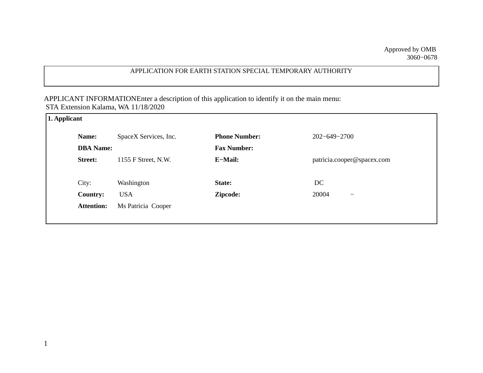## APPLICATION FOR EARTH STATION SPECIAL TEMPORARY AUTHORITY

APPLICANT INFORMATIONEnter a description of this application to identify it on the main menu: STA Extension Kalama, WA 11/18/2020

| 1. Applicant |                   |                       |                      |                                   |  |  |  |
|--------------|-------------------|-----------------------|----------------------|-----------------------------------|--|--|--|
|              | Name:             | SpaceX Services, Inc. | <b>Phone Number:</b> | $202 - 649 - 2700$                |  |  |  |
|              | <b>DBA</b> Name:  |                       | <b>Fax Number:</b>   |                                   |  |  |  |
|              | <b>Street:</b>    | 1155 F Street, N.W.   | E-Mail:              | patricia.cooper@spacex.com        |  |  |  |
|              |                   |                       |                      |                                   |  |  |  |
|              | City:             | Washington            | State:               | DC                                |  |  |  |
|              | <b>Country:</b>   | <b>USA</b>            | Zipcode:             | 20004<br>$\overline{\phantom{0}}$ |  |  |  |
|              | <b>Attention:</b> | Ms Patricia Cooper    |                      |                                   |  |  |  |
|              |                   |                       |                      |                                   |  |  |  |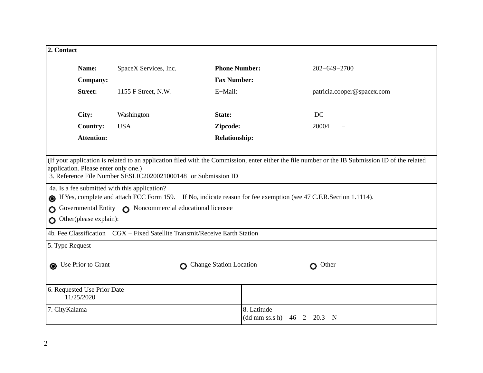| 2. Contact                                                                                                                                                                                                                                                |                       |                                          |                            |  |  |  |  |
|-----------------------------------------------------------------------------------------------------------------------------------------------------------------------------------------------------------------------------------------------------------|-----------------------|------------------------------------------|----------------------------|--|--|--|--|
|                                                                                                                                                                                                                                                           |                       |                                          |                            |  |  |  |  |
| Name:                                                                                                                                                                                                                                                     | SpaceX Services, Inc. | <b>Phone Number:</b>                     | $202 - 649 - 2700$         |  |  |  |  |
| Company:                                                                                                                                                                                                                                                  |                       | <b>Fax Number:</b>                       |                            |  |  |  |  |
| <b>Street:</b>                                                                                                                                                                                                                                            | 1155 F Street, N.W.   | E-Mail:                                  | patricia.cooper@spacex.com |  |  |  |  |
| City:                                                                                                                                                                                                                                                     | Washington            | State:                                   | DC                         |  |  |  |  |
| <b>Country:</b>                                                                                                                                                                                                                                           | <b>USA</b>            | Zipcode:                                 | 20004                      |  |  |  |  |
| <b>Attention:</b>                                                                                                                                                                                                                                         |                       | <b>Relationship:</b>                     |                            |  |  |  |  |
|                                                                                                                                                                                                                                                           |                       |                                          |                            |  |  |  |  |
| (If your application is related to an application filed with the Commission, enter either the file number or the IB Submission ID of the related<br>application. Please enter only one.)<br>3. Reference File Number SESLIC2020021000148 or Submission ID |                       |                                          |                            |  |  |  |  |
| 4a. Is a fee submitted with this application?                                                                                                                                                                                                             |                       |                                          |                            |  |  |  |  |
| If Yes, complete and attach FCC Form 159. If No, indicate reason for fee exemption (see 47 C.F.R.Section 1.1114).<br>⋒                                                                                                                                    |                       |                                          |                            |  |  |  |  |
| Governmental Entity <a> Noncommercial educational licensee<br/>Ο</a>                                                                                                                                                                                      |                       |                                          |                            |  |  |  |  |
| Other(please explain):<br>Ο                                                                                                                                                                                                                               |                       |                                          |                            |  |  |  |  |
| 4b. Fee Classification CGX - Fixed Satellite Transmit/Receive Earth Station                                                                                                                                                                               |                       |                                          |                            |  |  |  |  |
| 5. Type Request                                                                                                                                                                                                                                           |                       |                                          |                            |  |  |  |  |
| Use Prior to Grant<br>Change Station Location<br>$O$ Other                                                                                                                                                                                                |                       |                                          |                            |  |  |  |  |
| 6. Requested Use Prior Date<br>11/25/2020                                                                                                                                                                                                                 |                       |                                          |                            |  |  |  |  |
| 7. CityKalama                                                                                                                                                                                                                                             |                       | 8. Latitude<br>$(dd \, mm \, ss.s \, h)$ | 46<br>2<br>20.3<br>- N     |  |  |  |  |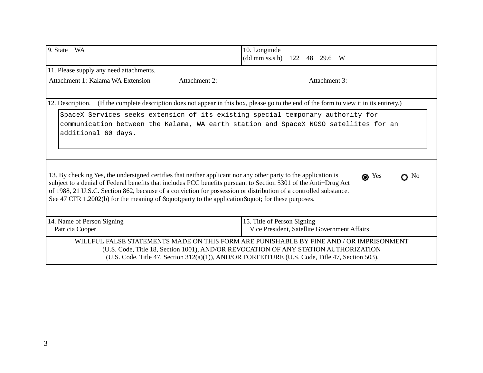| 9. State WA                                                                                                                                                                                                                                                                                                                                                                                                                                                                                                                                                                                                                                                                           | 10. Longitude<br>(dd mm ss.s h) 122 48 29.6 W                               |  |  |  |  |  |
|---------------------------------------------------------------------------------------------------------------------------------------------------------------------------------------------------------------------------------------------------------------------------------------------------------------------------------------------------------------------------------------------------------------------------------------------------------------------------------------------------------------------------------------------------------------------------------------------------------------------------------------------------------------------------------------|-----------------------------------------------------------------------------|--|--|--|--|--|
| 11. Please supply any need attachments.                                                                                                                                                                                                                                                                                                                                                                                                                                                                                                                                                                                                                                               |                                                                             |  |  |  |  |  |
| Attachment 1: Kalama WA Extension<br>Attachment 2:                                                                                                                                                                                                                                                                                                                                                                                                                                                                                                                                                                                                                                    | Attachment 3:                                                               |  |  |  |  |  |
| (If the complete description does not appear in this box, please go to the end of the form to view it in its entirety.)<br>12. Description.                                                                                                                                                                                                                                                                                                                                                                                                                                                                                                                                           |                                                                             |  |  |  |  |  |
| SpaceX Services seeks extension of its existing special temporary authority for<br>communication between the Kalama, WA earth station and SpaceX NGSO satellites for an<br>additional 60 days.<br>13. By checking Yes, the undersigned certifies that neither applicant nor any other party to the application is<br>$\bullet$ Yes<br>$\Omega$ No<br>subject to a denial of Federal benefits that includes FCC benefits pursuant to Section 5301 of the Anti-Drug Act<br>of 1988, 21 U.S.C. Section 862, because of a conviction for possession or distribution of a controlled substance.<br>See 47 CFR 1.2002(b) for the meaning of "party to the application " for these purposes. |                                                                             |  |  |  |  |  |
| 14. Name of Person Signing<br>Patricia Cooper                                                                                                                                                                                                                                                                                                                                                                                                                                                                                                                                                                                                                                         | 15. Title of Person Signing<br>Vice President, Satellite Government Affairs |  |  |  |  |  |
| WILLFUL FALSE STATEMENTS MADE ON THIS FORM ARE PUNISHABLE BY FINE AND / OR IMPRISONMENT<br>(U.S. Code, Title 18, Section 1001), AND/OR REVOCATION OF ANY STATION AUTHORIZATION<br>(U.S. Code, Title 47, Section 312(a)(1)), AND/OR FORFEITURE (U.S. Code, Title 47, Section 503).                                                                                                                                                                                                                                                                                                                                                                                                     |                                                                             |  |  |  |  |  |